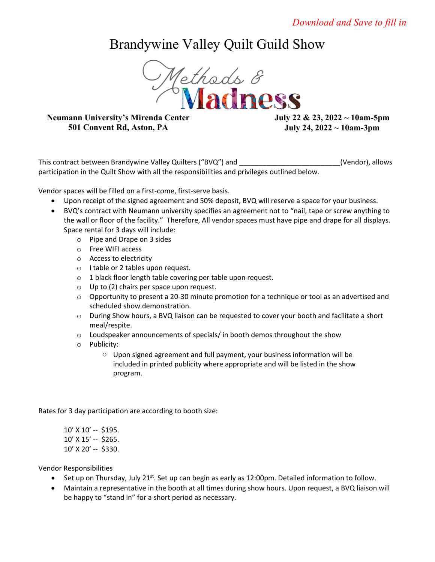## Brandywine Valley Quilt Guild Show



## **Neumann University's Mirenda Center 501 Convent Rd, Aston, PA**

**July 22 & 23, 2022 ~ 10am-5pm July 24, 2022 ~ 10am-3pm**

This contract between Brandywine Valley Quilters ("BVQ") and \_\_\_\_\_\_\_\_\_\_\_\_\_\_\_\_\_\_\_\_\_\_\_\_\_\_(Vendor), allows participation in the Quilt Show with all the responsibilities and privileges outlined below.

Vendor spaces will be filled on a first-come, first-serve basis.

- Upon receipt of the signed agreement and 50% deposit, BVQ will reserve a space for your business.
- BVQ's contract with Neumann university specifies an agreement not to "nail, tape or screw anything to the wall or floor of the facility." Therefore, All vendor spaces must have pipe and drape for all displays. Space rental for 3 days will include:
	- o Pipe and Drape on 3 sides
	- o Free WIFI access
	- o Access to electricity
	- o I table or 2 tables upon request.
	- o 1 black floor length table covering per table upon request.
	- o Up to (2) chairs per space upon request.
	- $\circ$  Opportunity to present a 20-30 minute promotion for a technique or tool as an advertised and scheduled show demonstration.
	- o During Show hours, a BVQ liaison can be requested to cover your booth and facilitate a short meal/respite.
	- o Loudspeaker announcements of specials/ in booth demos throughout the show
	- o Publicity:
		- o Upon signed agreement and full payment, your business information will be included in printed publicity where appropriate and will be listed in the show program.

Rates for 3 day participation are according to booth size:

10' X 10' -- \$195. 10' X 15' -- \$265. 10' X 20' -- \$330.

Vendor Responsibilities

- Set up on Thursday, July 21<sup>st</sup>. Set up can begin as early as 12:00pm. Detailed information to follow.
- Maintain a representative in the booth at all times during show hours. Upon request, a BVQ liaison will be happy to "stand in" for a short period as necessary.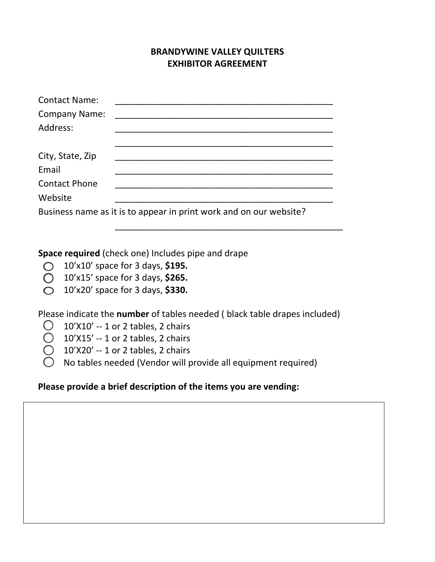## **BRANDYWINE VALLEY QUILTERS EXHIBITOR AGREEMENT**

\_\_\_\_\_\_\_\_\_\_\_\_\_\_\_\_\_\_\_\_\_\_\_\_\_\_\_\_\_\_\_\_\_\_\_\_\_\_\_\_\_\_\_\_\_\_

| <b>Contact Name:</b> |                                                                    |
|----------------------|--------------------------------------------------------------------|
| <b>Company Name:</b> |                                                                    |
| Address:             |                                                                    |
|                      |                                                                    |
| City, State, Zip     |                                                                    |
| Email                |                                                                    |
| <b>Contact Phone</b> |                                                                    |
| Website              |                                                                    |
|                      | Business name as it is to appear in print work and on our website? |

**Space required** (check one) Includes pipe and drape

- 10'x10' space for 3 days, **\$195.**
- 10'x15' space for 3 days, **\$265.**
- 10'x20' space for 3 days, **\$330.**

Please indicate the **number** of tables needed ( black table drapes included)

- $\bigcirc$  10'X10' -- 1 or 2 tables, 2 chairs
- $\bigcirc$  10'X15' -- 1 or 2 tables, 2 chairs
- 10'X20' -- 1 or 2 tables, 2 chairs
- No tables needed (Vendor will provide all equipment required)

## **Please provide a brief description of the items you are vending:**